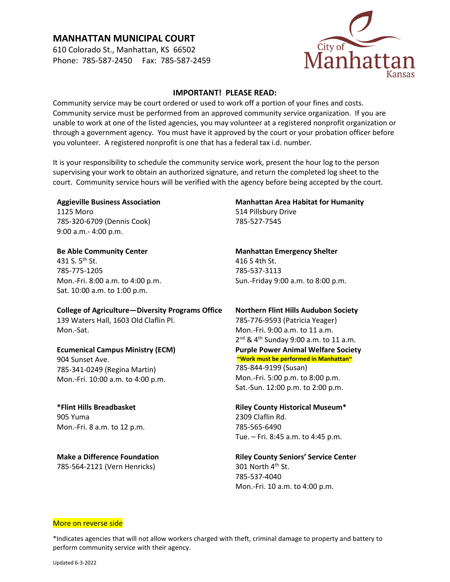# **MANHATTAN MUNICIPAL COURT**

610 Colorado St., Manhattan, KS 66502 Phone: 785-587-2450 Fax: 785-587-2459



### **IMPORTANT! PLEASE READ:**

Community service may be court ordered or used to work off a portion of your fines and costs. Community service must be performed from an approved community service organization. If you are unable to work at one of the listed agencies, you may volunteer at a registered nonprofit organization or through a government agency. You must have it approved by the court or your probation officer before you volunteer. A registered nonprofit is one that has a federal tax i.d. number.

It is your responsibility to schedule the community service work, present the hour log to the person supervising your work to obtain an authorized signature, and return the completed log sheet to the court. Community service hours will be verified with the agency before being accepted by the court.

#### **Aggieville Business Association** 1125 Moro

785-320-6709 (Dennis Cook) 9:00 a.m.- 4:00 p.m.

# **Be Able Community Center** 431 S.  $5^{th}$  St. 785-775-1205 Mon.-Fri. 8:00 a.m. to 4:00 p.m. Sat. 10:00 a.m. to 1:00 p.m.

**College of Agriculture—Diversity Programs Office** 139 Waters Hall, 1603 Old Claflin Pl. Mon.-Sat.

### **Ecumenical Campus Ministry (ECM)** 904 Sunset Ave. 785-341-0249 (Regina Martin) Mon.-Fri. 10:00 a.m. to 4:00 p.m.

**\*Flint Hills Breadbasket** 905 Yuma Mon.-Fri. 8 a.m. to 12 p.m.

**Make a Difference Foundation** 785-564-2121 (Vern Henricks)

# **Manhattan Area Habitat for Humanity**

514 Pillsbury Drive 785-527-7545

**Manhattan Emergency Shelter** 416 S 4th St. 785-537-3113 Sun.-Friday 9:00 a.m. to 8:00 p.m.

# **Northern Flint Hills Audubon Society** 785-776-9593 (Patricia Yeager) Mon.-Fri. 9:00 a.m. to 11 a.m.  $2^{nd}$  & 4<sup>th</sup> Sunday 9:00 a.m. to 11 a.m. **Purple Power Animal Welfare Society ~Work must be performed in Manhattan~** 785-844-9199 (Susan) Mon.-Fri. 5:00 p.m. to 8:00 p.m. Sat.-Sun. 12:00 p.m. to 2:00 p.m.

## **Riley County Historical Museum\*** 2309 Claflin Rd. 785-565-6490 Tue. – Fri. 8:45 a.m. to 4:45 p.m.

**Riley County Seniors' Service Center** 301 North 4<sup>th</sup> St. 785-537-4040 Mon.-Fri. 10 a.m. to 4:00 p.m.

#### More on reverse side

\*Indicates agencies that will not allow workers charged with theft, criminal damage to property and battery to perform community service with their agency.